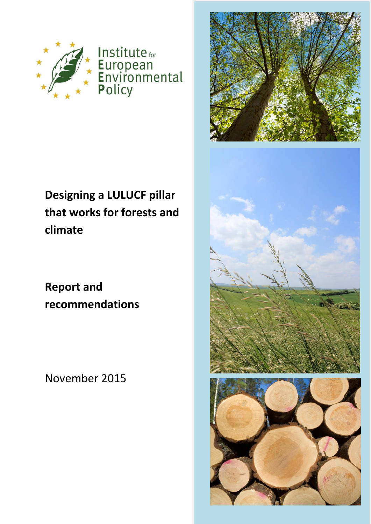

Institute for European<br>Environmental<br>Policy

# **Designing a LULUCF pillar that works for forests and climate**

**Report and recommendations** 

November 2015

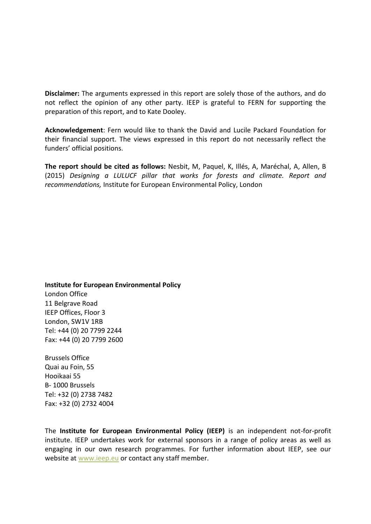**Disclaimer:** The arguments expressed in this report are solely those of the authors, and do not reflect the opinion of any other party. IEEP is grateful to FERN for supporting the preparation of this report, and to Kate Dooley.

**Acknowledgement**: Fern would like to thank the David and Lucile Packard Foundation for their financial support. The views expressed in this report do not necessarily reflect the funders' official positions.

**The report should be cited as follows:** Nesbit, M, Paquel, K, Illés, A, Maréchal, A, Allen, B (2015) *Designing a LULUCF pillar that works for forests and climate. Report and recommendations,* Institute for European Environmental Policy, London

**Institute for European Environmental Policy** London Office 11 Belgrave Road IEEP Offices, Floor 3 London, SW1V 1RB Tel: +44 (0) 20 7799 2244 Fax: +44 (0) 20 7799 2600

Brussels Office Quai au Foin, 55 Hooikaai 55 B- 1000 Brussels Tel: +32 (0) 2738 7482 Fax: +32 (0) 2732 4004

The **Institute for European Environmental Policy (IEEP)** is an independent not-for-profit institute. IEEP undertakes work for external sponsors in a range of policy areas as well as engaging in our own research programmes. For further information about IEEP, see our website at [www.ieep.eu](http://www.ieep.eu/) or contact any staff member.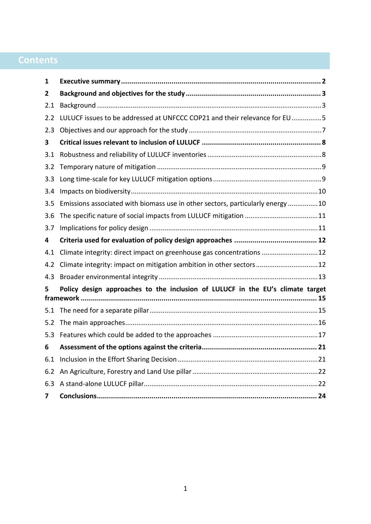## **Contents**

| 1   |                                                                                |  |  |  |
|-----|--------------------------------------------------------------------------------|--|--|--|
| 2   |                                                                                |  |  |  |
| 2.1 |                                                                                |  |  |  |
| 2.2 | LULUCF issues to be addressed at UNFCCC COP21 and their relevance for EU5      |  |  |  |
| 2.3 |                                                                                |  |  |  |
| 3   |                                                                                |  |  |  |
| 3.1 |                                                                                |  |  |  |
| 3.2 |                                                                                |  |  |  |
| 3.3 |                                                                                |  |  |  |
| 3.4 |                                                                                |  |  |  |
| 3.5 | Emissions associated with biomass use in other sectors, particularly energy10  |  |  |  |
| 3.6 |                                                                                |  |  |  |
| 3.7 |                                                                                |  |  |  |
| 4   |                                                                                |  |  |  |
| 4.1 | Climate integrity: direct impact on greenhouse gas concentrations  12          |  |  |  |
| 4.2 | Climate integrity: impact on mitigation ambition in other sectors12            |  |  |  |
| 4.3 |                                                                                |  |  |  |
| 5.  | Policy design approaches to the inclusion of LULUCF in the EU's climate target |  |  |  |
| 5.1 |                                                                                |  |  |  |
| 5.2 |                                                                                |  |  |  |
| 5.3 |                                                                                |  |  |  |
| 6   |                                                                                |  |  |  |
| 6.1 |                                                                                |  |  |  |
| 6.2 |                                                                                |  |  |  |
| 6.3 |                                                                                |  |  |  |
| 7   |                                                                                |  |  |  |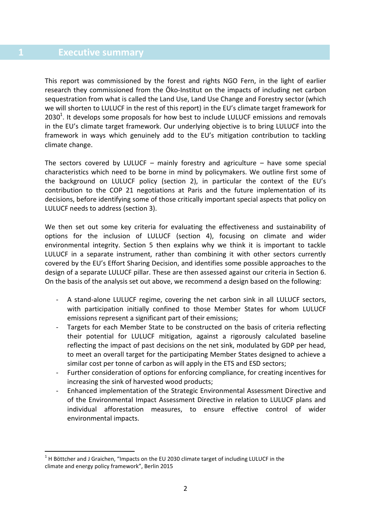<span id="page-3-0"></span>This report was commissioned by the forest and rights NGO Fern, in the light of earlier research they commissioned from the Öko-Institut on the impacts of including net carbon sequestration from what is called the Land Use, Land Use Change and Forestry sector (which we will shorten to LULUCF in the rest of this report) in the EU's climate target framework for  $2030<sup>1</sup>$ . It develops some proposals for how best to include LULUCF emissions and removals in the EU's climate target framework. Our underlying objective is to bring LULUCF into the framework in ways which genuinely add to the EU's mitigation contribution to tackling climate change.

The sectors covered by LULUCF – mainly forestry and agriculture – have some special characteristics which need to be borne in mind by policymakers. We outline first some of the background on LULUCF policy (section 2), in particular the context of the EU's contribution to the COP 21 negotiations at Paris and the future implementation of its decisions, before identifying some of those critically important special aspects that policy on LULUCF needs to address (section 3).

We then set out some key criteria for evaluating the effectiveness and sustainability of options for the inclusion of LULUCF (section 4), focusing on climate and wider environmental integrity. Section 5 then explains why we think it is important to tackle LULUCF in a separate instrument, rather than combining it with other sectors currently covered by the EU's Effort Sharing Decision, and identifies some possible approaches to the design of a separate LULUCF pillar. These are then assessed against our criteria in Section 6. On the basis of the analysis set out above, we recommend a design based on the following:

- A stand-alone LULUCF regime, covering the net carbon sink in all LULUCF sectors, with participation initially confined to those Member States for whom LULUCF emissions represent a significant part of their emissions;
- Targets for each Member State to be constructed on the basis of criteria reflecting their potential for LULUCF mitigation, against a rigorously calculated baseline reflecting the impact of past decisions on the net sink, modulated by GDP per head, to meet an overall target for the participating Member States designed to achieve a similar cost per tonne of carbon as will apply in the ETS and ESD sectors;
- Further consideration of options for enforcing compliance, for creating incentives for increasing the sink of harvested wood products;
- Enhanced implementation of the Strategic Environmental Assessment Directive and of the Environmental Impact Assessment Directive in relation to LULUCF plans and individual afforestation measures, to ensure effective control of wider environmental impacts.

2

-

 $1$  H Böttcher and J Graichen, "Impacts on the EU 2030 climate target of including LULUCF in the climate and energy policy framework", Berlin 2015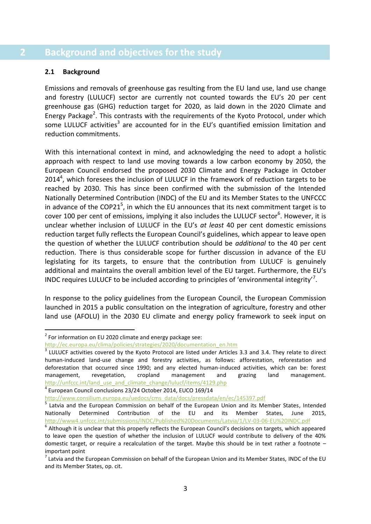### <span id="page-4-0"></span>**2 Background and objectives for the study**

#### <span id="page-4-1"></span>**2.1 Background**

-

Emissions and removals of greenhouse gas resulting from the EU land use, land use change and forestry (LULUCF) sector are currently not counted towards the EU's 20 per cent greenhouse gas (GHG) reduction target for 2020, as laid down in the 2020 Climate and Energy Package<sup>2</sup>. This contrasts with the requirements of the Kyoto Protocol, under which some LULUCF activities<sup>3</sup> are accounted for in the EU's quantified emission limitation and reduction commitments.

With this international context in mind, and acknowledging the need to adopt a holistic approach with respect to land use moving towards a low carbon economy by 2050, the European Council endorsed the proposed 2030 Climate and Energy Package in October  $2014<sup>4</sup>$ , which foresees the inclusion of LULUCF in the framework of reduction targets to be reached by 2030. This has since been confirmed with the submission of the Intended Nationally Determined Contribution (INDC) of the EU and its Member States to the UNFCCC in advance of the COP21<sup>5</sup>, in which the EU announces that its next commitment target is to cover 100 per cent of emissions, implying it also includes the LULUCF sector<sup>6</sup>. However, it is unclear whether inclusion of LULUCF in the EU's *at least* 40 per cent domestic emissions reduction target fully reflects the European Council's guidelines, which appear to leave open the question of whether the LULUCF contribution should be *additional* to the 40 per cent reduction. There is thus considerable scope for further discussion in advance of the EU legislating for its targets, to ensure that the contribution from LULUCF is genuinely additional and maintains the overall ambition level of the EU target. Furthermore, the EU's INDC requires LULUCF to be included according to principles of 'environmental integrity'<sup>7</sup>.

In response to the policy guidelines from the European Council, the European Commission launched in 2015 a public consultation on the integration of agriculture, forestry and other land use (AFOLU) in the 2030 EU climate and energy policy framework to seek input on

4 European Council conclusions 23/24 October 2014, EUCO 169/14

[http://www.consilium.europa.eu/uedocs/cms\\_data/docs/pressdata/en/ec/145397.pdf](http://www.consilium.europa.eu/uedocs/cms_data/docs/pressdata/en/ec/145397.pdf)

 $2$  For information on EU 2020 climate and energy package see:

[http://ec.europa.eu/clima/policies/strategies/2020/documentation\\_en.htm](http://ec.europa.eu/clima/policies/strategies/2020/documentation_en.htm)

 $3$  LULUCF activities covered by the Kyoto Protocol are listed under Articles 3.3 and 3.4. They relate to direct human-induced land-use change and forestry activities, as follows: afforestation, reforestation and deforestation that occurred since 1990; and any elected human-induced activities, which can be: forest management, revegetation, cropland management and grazing land management. [http://unfccc.int/land\\_use\\_and\\_climate\\_change/lulucf/items/4129.php](http://unfccc.int/land_use_and_climate_change/lulucf/items/4129.php)

<sup>&</sup>lt;sup>5</sup> Latvia and the European Commission on behalf of the European Union and its Member States, Intended Nationally Determined Contribution of the EU and its Member States, June 2015, <http://www4.unfccc.int/submissions/INDC/Published%20Documents/Latvia/1/LV-03-06-EU%20INDC.pdf>

 $^6$  Although it is unclear that this properly reflects the European Council's decisions on targets, which appeared to leave open the question of whether the inclusion of LULUCF would contribute to delivery of the 40% domestic target, or require a recalculation of the target. Maybe this should be in text rather a footnote – important point

 $^7$  Latvia and the European Commission on behalf of the European Union and its Member States, INDC of the EU and its Member States, op. cit.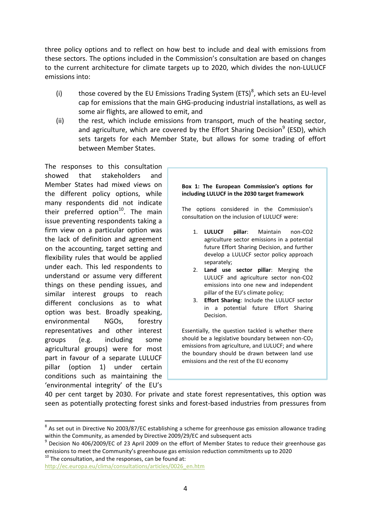three policy options and to reflect on how best to include and deal with emissions from these sectors. The options included in the Commission's consultation are based on changes to the current architecture for climate targets up to 2020, which divides the non-LULUCF emissions into:

- (i) those covered by the EU Emissions Trading System (ETS)<sup>8</sup>, which sets an EU-level cap for emissions that the main GHG-producing industrial installations, as well as some air flights, are allowed to emit, and
- (ii) the rest, which include emissions from transport, much of the heating sector, and agriculture, which are covered by the Effort Sharing Decision<sup>9</sup> (ESD), which sets targets for each Member State, but allows for some trading of effort between Member States.

The responses to this consultation showed that stakeholders and Member States had mixed views on the different policy options, while many respondents did not indicate their preferred option<sup>10</sup>. The main issue preventing respondents taking a firm view on a particular option was the lack of definition and agreement on the accounting, target setting and flexibility rules that would be applied under each. This led respondents to understand or assume very different things on these pending issues, and similar interest groups to reach different conclusions as to what option was best. Broadly speaking, environmental NGOs, forestry representatives and other interest groups (e.g. including some agricultural groups) were for most part in favour of a separate LULUCF pillar (option 1) under certain conditions such as maintaining the 'environmental integrity' of the EU's

**Box 1: The European Commission's options for including LULUCF in the 2030 target framework**

The options considered in the Commission's consultation on the inclusion of LULUCF were:

- 1. **LULUCF pillar**: Maintain non-CO2 agriculture sector emissions in a potential future Effort Sharing Decision, and further develop a LULUCF sector policy approach separately;
- 2. **Land use sector pillar**: Merging the LULUCF and agriculture sector non-CO2 emissions into one new and independent pillar of the EU's climate policy;
- 3. **Effort Sharing**: Include the LULUCF sector in a potential future Effort Sharing Decision.

Essentially, the question tackled is whether there should be a legislative boundary between non- $CO<sub>2</sub>$ emissions from agriculture, and LULUCF; and where the boundary should be drawn between land use emissions and the rest of the EU economy

40 per cent target by 2030. For private and state forest representatives, this option was seen as potentially protecting forest sinks and forest-based industries from pressures from

 $10$  The consultation, and the responses, can be found at:

1

 $^8$  As set out in Directive No 2003/87/EC establishing a scheme for greenhouse gas emission allowance trading within the Community, as amended by Directive 2009/29/EC and subsequent acts

<sup>&</sup>lt;sup>9</sup> Decision No 406/2009/EC of 23 April 2009 on the effort of Member States to reduce their greenhouse gas emissions to meet the Community's greenhouse gas emission reduction commitments up to 2020

[http://ec.europa.eu/clima/consultations/articles/0026\\_en.htm](http://ec.europa.eu/clima/consultations/articles/0026_en.htm)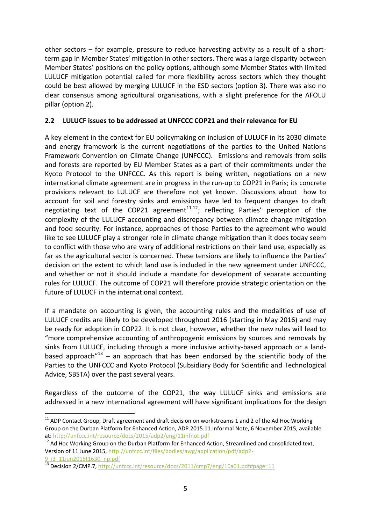other sectors – for example, pressure to reduce harvesting activity as a result of a shortterm gap in Member States' mitigation in other sectors. There was a large disparity between Member States' positions on the policy options, although some Member States with limited LULUCF mitigation potential called for more flexibility across sectors which they thought could be best allowed by merging LULUCF in the ESD sectors (option 3). There was also no clear consensus among agricultural organisations, with a slight preference for the AFOLU pillar (option 2).

#### <span id="page-6-0"></span>**2.2 LULUCF issues to be addressed at UNFCCC COP21 and their relevance for EU**

A key element in the context for EU policymaking on inclusion of LULUCF in its 2030 climate and energy framework is the current negotiations of the parties to the United Nations Framework Convention on Climate Change (UNFCCC). Emissions and removals from soils and forests are reported by EU Member States as a part of their commitments under the Kyoto Protocol to the UNFCCC. As this report is being written, negotiations on a new international climate agreement are in progress in the run-up to COP21 in Paris; its concrete provisions relevant to LULUCF are therefore not yet known. Discussions about how to account for soil and forestry sinks and emissions have led to frequent changes to draft negotiating text of the COP21 agreement<sup>11,12</sup>; reflecting Parties' perception of the complexity of the LULUCF accounting and discrepancy between climate change mitigation and food security. For instance, approaches of those Parties to the agreement who would like to see LULUCF play a stronger role in climate change mitigation than it does today seem to conflict with those who are wary of additional restrictions on their land use, especially as far as the agricultural sector is concerned. These tensions are likely to influence the Parties' decision on the extent to which land use is included in the new agreement under UNFCCC, and whether or not it should include a mandate for development of separate accounting rules for LULUCF. The outcome of COP21 will therefore provide strategic orientation on the future of LULUCF in the international context.

If a mandate on accounting is given, the accounting rules and the modalities of use of LULUCF credits are likely to be developed throughout 2016 (starting in May 2016) and may be ready for adoption in COP22. It is not clear, however, whether the new rules will lead to "more comprehensive accounting of anthropogenic emissions by sources and removals by sinks from LULUCF, including through a more inclusive activity-based approach or a landbased approach<sup>"13</sup> – an approach that has been endorsed by the scientific body of the Parties to the UNFCCC and Kyoto Protocol (Subsidiary Body for Scientific and Technological Advice, SBSTA) over the past several years.

Regardless of the outcome of the COP21, the way LULUCF sinks and emissions are addressed in a new international agreement will have significant implications for the design

<sup>-</sup> $11$  ADP Contact Group, Draft agreement and draft decision on workstreams 1 and 2 of the Ad Hoc Working Group on the Durban Platform for Enhanced Action, ADP.2015.11.Informal Note, 6 November 2015, available at:<http://unfccc.int/resource/docs/2015/adp2/eng/11infnot.pdf>

<sup>&</sup>lt;sup>12</sup> Ad Hoc Working Group on the Durban Platform for Enhanced Action, Streamlined and consolidated text, Version of 11 June 2015, [http://unfccc.int/files/bodies/awg/application/pdf/adp2-](http://unfccc.int/files/bodies/awg/application/pdf/adp2-9_i3_11jun2015t1630_np.pdf) [9\\_i3\\_11jun2015t1630\\_np.pdf](http://unfccc.int/files/bodies/awg/application/pdf/adp2-9_i3_11jun2015t1630_np.pdf)

<sup>&</sup>lt;sup>13</sup> Decision 2/CMP.7,<http://unfccc.int/resource/docs/2011/cmp7/eng/10a01.pdf#page=11>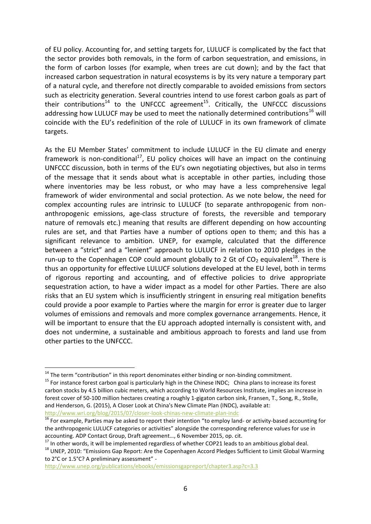of EU policy. Accounting for, and setting targets for, LULUCF is complicated by the fact that the sector provides both removals, in the form of carbon sequestration, and emissions, in the form of carbon losses (for example, when trees are cut down); and by the fact that increased carbon sequestration in natural ecosystems is by its very nature a temporary part of a natural cycle, and therefore not directly comparable to avoided emissions from sectors such as electricity generation. Several countries intend to use forest carbon goals as part of their contributions<sup>14</sup> to the UNFCCC agreement<sup>15</sup>. Critically, the UNFCCC discussions addressing how LULUCF may be used to meet the nationally determined contributions<sup>16</sup> will coincide with the EU's redefinition of the role of LULUCF in its own framework of climate targets.

As the EU Member States' commitment to include LULUCF in the EU climate and energy framework is non-conditional<sup>17</sup>, EU policy choices will have an impact on the continuing UNFCCC discussion, both in terms of the EU's own negotiating objectives, but also in terms of the message that it sends about what is acceptable in other parties, including those where inventories may be less robust, or who may have a less comprehensive legal framework of wider environmental and social protection. As we note below, the need for complex accounting rules are intrinsic to LULUCF (to separate anthropogenic from nonanthropogenic emissions, age-class structure of forests, the reversible and temporary nature of removals etc.) meaning that results are different depending on how accounting rules are set, and that Parties have a number of options open to them; and this has a significant relevance to ambition. UNEP, for example, calculated that the difference between a "strict" and a "lenient" approach to LULUCF in relation to 2010 pledges in the run-up to the Copenhagen COP could amount globally to 2 Gt of CO<sub>2</sub> equivalent<sup>18</sup>. There is thus an opportunity for effective LULUCF solutions developed at the EU level, both in terms of rigorous reporting and accounting, and of effective policies to drive appropriate sequestration action, to have a wider impact as a model for other Parties. There are also risks that an EU system which is insufficiently stringent in ensuring real mitigation benefits could provide a poor example to Parties where the margin for error is greater due to larger volumes of emissions and removals and more complex governance arrangements. Hence, it will be important to ensure that the EU approach adopted internally is consistent with, and does not undermine, a sustainable and ambitious approach to forests and land use from other parties to the UNFCCC.

<sup>-</sup> $14$  The term "contribution" in this report denominates either binding or non-binding commitment.

 $15$  For instance forest carbon goal is particularly high in the Chinese INDC; China plans to increase its forest carbon stocks by 4.5 billion cubic meters, which according to World Resources Institute, implies an increase in forest cover of 50-100 million hectares creating a roughly 1-gigaton carbon sink, Fransen, T., Song, R., Stolle, and Henderson, G. (2015), A Closer Look at China's New Climate Plan (INDC), available at: <http://www.wri.org/blog/2015/07/closer-look-chinas-new-climate-plan-indc>

 $16$  For example, Parties may be asked to report their intention "to employ land- or activity-based accounting for the anthropogenic LULUCF categories or activities" alongside the corresponding reference values for use in accounting. ADP Contact Group, Draft agreement…, 6 November 2015, op. cit.

<sup>&</sup>lt;sup>17</sup> In other words, it will be implemented regardless of whether COP21 leads to an ambitious global deal.

<sup>&</sup>lt;sup>18</sup> UNEP, 2010: "Emissions Gap Report: Are the Copenhagen Accord Pledges Sufficient to Limit Global Warming to 2°C or 1.5°C? A preliminary assessment" -

<http://www.unep.org/publications/ebooks/emissionsgapreport/chapter3.asp?c=3.3>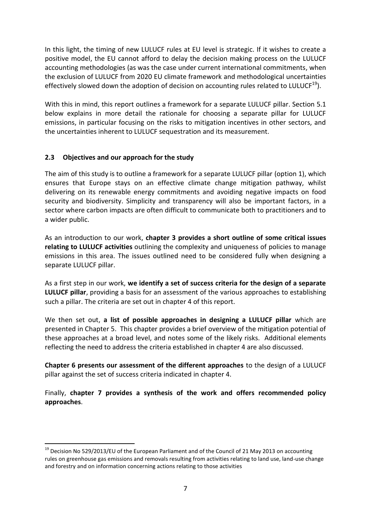In this light, the timing of new LULUCF rules at EU level is strategic. If it wishes to create a positive model, the EU cannot afford to delay the decision making process on the LULUCF accounting methodologies (as was the case under current international commitments, when the exclusion of LULUCF from 2020 EU climate framework and methodological uncertainties effectively slowed down the adoption of decision on accounting rules related to LULUCF<sup>19</sup>).

With this in mind, this report outlines a framework for a separate LULUCF pillar. Section 5.1 below explains in more detail the rationale for choosing a separate pillar for LULUCF emissions, in particular focusing on the risks to mitigation incentives in other sectors, and the uncertainties inherent to LULUCF sequestration and its measurement.

#### <span id="page-8-0"></span>**2.3 Objectives and our approach for the study**

-

The aim of this study is to outline a framework for a separate LULUCF pillar (option 1), which ensures that Europe stays on an effective climate change mitigation pathway, whilst delivering on its renewable energy commitments and avoiding negative impacts on food security and biodiversity. Simplicity and transparency will also be important factors, in a sector where carbon impacts are often difficult to communicate both to practitioners and to a wider public.

As an introduction to our work, **chapter 3 provides a short outline of some critical issues relating to LULUCF activities** outlining the complexity and uniqueness of policies to manage emissions in this area. The issues outlined need to be considered fully when designing a separate LULUCF pillar.

As a first step in our work, **we identify a set of success criteria for the design of a separate LULUCF pillar**, providing a basis for an assessment of the various approaches to establishing such a pillar. The criteria are set out in chapter 4 of this report.

We then set out, **a list of possible approaches in designing a LULUCF pillar** which are presented in Chapter 5. This chapter provides a brief overview of the mitigation potential of these approaches at a broad level, and notes some of the likely risks. Additional elements reflecting the need to address the criteria established in chapter 4 are also discussed.

**Chapter 6 presents our assessment of the different approaches** to the design of a LULUCF pillar against the set of success criteria indicated in chapter 4.

Finally, **chapter 7 provides a synthesis of the work and offers recommended policy approaches**.

<sup>&</sup>lt;sup>19</sup> Decision No 529/2013/EU of the European Parliament and of the Council of 21 May 2013 on accounting rules on greenhouse gas emissions and removals resulting from activities relating to land use, land-use change and forestry and on information concerning actions relating to those activities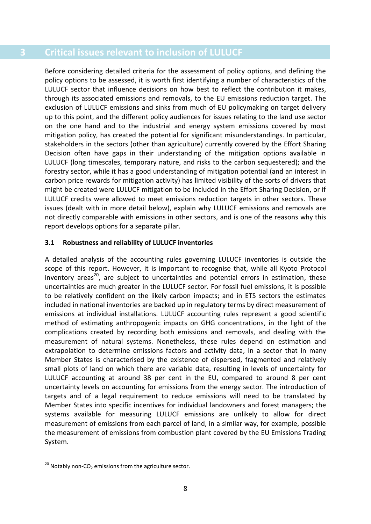#### <span id="page-9-0"></span>**3 Critical issues relevant to inclusion of LULUCF**

Before considering detailed criteria for the assessment of policy options, and defining the policy options to be assessed, it is worth first identifying a number of characteristics of the LULUCF sector that influence decisions on how best to reflect the contribution it makes, through its associated emissions and removals, to the EU emissions reduction target. The exclusion of LULUCF emissions and sinks from much of EU policymaking on target delivery up to this point, and the different policy audiences for issues relating to the land use sector on the one hand and to the industrial and energy system emissions covered by most mitigation policy, has created the potential for significant misunderstandings. In particular, stakeholders in the sectors (other than agriculture) currently covered by the Effort Sharing Decision often have gaps in their understanding of the mitigation options available in LULUCF (long timescales, temporary nature, and risks to the carbon sequestered); and the forestry sector, while it has a good understanding of mitigation potential (and an interest in carbon price rewards for mitigation activity) has limited visibility of the sorts of drivers that might be created were LULUCF mitigation to be included in the Effort Sharing Decision, or if LULUCF credits were allowed to meet emissions reduction targets in other sectors. These issues (dealt with in more detail below), explain why LULUCF emissions and removals are not directly comparable with emissions in other sectors, and is one of the reasons why this report develops options for a separate pillar.

#### <span id="page-9-1"></span>**3.1 Robustness and reliability of LULUCF inventories**

A detailed analysis of the accounting rules governing LULUCF inventories is outside the scope of this report. However, it is important to recognise that, while all Kyoto Protocol inventory areas<sup>20</sup>, are subject to uncertainties and potential errors in estimation, these uncertainties are much greater in the LULUCF sector. For fossil fuel emissions, it is possible to be relatively confident on the likely carbon impacts; and in ETS sectors the estimates included in national inventories are backed up in regulatory terms by direct measurement of emissions at individual installations. LULUCF accounting rules represent a good scientific method of estimating anthropogenic impacts on GHG concentrations, in the light of the complications created by recording both emissions and removals, and dealing with the measurement of natural systems. Nonetheless, these rules depend on estimation and extrapolation to determine emissions factors and activity data, in a sector that in many Member States is characterised by the existence of dispersed, fragmented and relatively small plots of land on which there are variable data, resulting in levels of uncertainty for LULUCF accounting at around 38 per cent in the EU, compared to around 8 per cent uncertainty levels on accounting for emissions from the energy sector. The introduction of targets and of a legal requirement to reduce emissions will need to be translated by Member States into specific incentives for individual landowners and forest managers; the systems available for measuring LULUCF emissions are unlikely to allow for direct measurement of emissions from each parcel of land, in a similar way, for example, possible the measurement of emissions from combustion plant covered by the EU Emissions Trading System.

<sup>1</sup>  $^{20}$  Notably non-CO<sub>2</sub> emissions from the agriculture sector.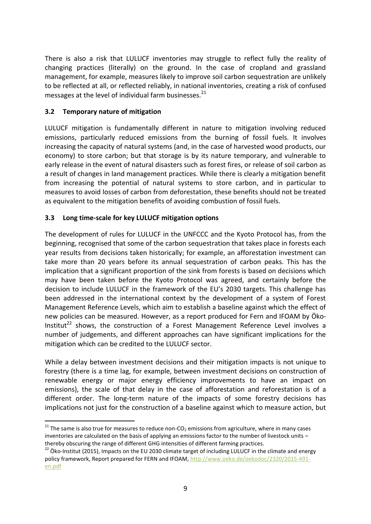There is also a risk that LULUCF inventories may struggle to reflect fully the reality of changing practices (literally) on the ground. In the case of cropland and grassland management, for example, measures likely to improve soil carbon sequestration are unlikely to be reflected at all, or reflected reliably, in national inventories, creating a risk of confused messages at the level of individual farm businesses. $^{21}$ 

#### <span id="page-10-0"></span>**3.2 Temporary nature of mitigation**

1

LULUCF mitigation is fundamentally different in nature to mitigation involving reduced emissions, particularly reduced emissions from the burning of fossil fuels. It involves increasing the capacity of natural systems (and, in the case of harvested wood products, our economy) to store carbon; but that storage is by its nature temporary, and vulnerable to early release in the event of natural disasters such as forest fires, or release of soil carbon as a result of changes in land management practices. While there is clearly a mitigation benefit from increasing the potential of natural systems to store carbon, and in particular to measures to avoid losses of carbon from deforestation, these benefits should not be treated as equivalent to the mitigation benefits of avoiding combustion of fossil fuels.

#### <span id="page-10-1"></span>**3.3 Long time-scale for key LULUCF mitigation options**

The development of rules for LULUCF in the UNFCCC and the Kyoto Protocol has, from the beginning, recognised that some of the carbon sequestration that takes place in forests each year results from decisions taken historically; for example, an afforestation investment can take more than 20 years before its annual sequestration of carbon peaks. This has the implication that a significant proportion of the sink from forests is based on decisions which may have been taken before the Kyoto Protocol was agreed, and certainly before the decision to include LULUCF in the framework of the EU's 2030 targets. This challenge has been addressed in the international context by the development of a system of Forest Management Reference Levels, which aim to establish a baseline against which the effect of new policies can be measured. However, as a report produced for Fern and IFOAM by Öko-Institut<sup>22</sup> shows, the construction of a Forest Management Reference Level involves a number of judgements, and different approaches can have significant implications for the mitigation which can be credited to the LULUCF sector.

While a delay between investment decisions and their mitigation impacts is not unique to forestry (there is a time lag, for example, between investment decisions on construction of renewable energy or major energy efficiency improvements to have an impact on emissions), the scale of that delay in the case of afforestation and reforestation is of a different order. The long-term nature of the impacts of some forestry decisions has implications not just for the construction of a baseline against which to measure action, but

<sup>&</sup>lt;sup>21</sup> The same is also true for measures to reduce non-CO<sub>2</sub> emissions from agriculture, where in many cases inventories are calculated on the basis of applying an emissions factor to the number of livestock units – thereby obscuring the range of different GHG intensities of different farming practices.

<sup>&</sup>lt;sup>22</sup> Öko-Institut (2015), Impacts on the EU 2030 climate target of including LULUCF in the climate and energy policy framework, Report prepared for FERN and IFOAM[, http://www.oeko.de/oekodoc/2320/2015-491](http://www.oeko.de/oekodoc/2320/2015-491-en.pdf) [en.pdf](http://www.oeko.de/oekodoc/2320/2015-491-en.pdf)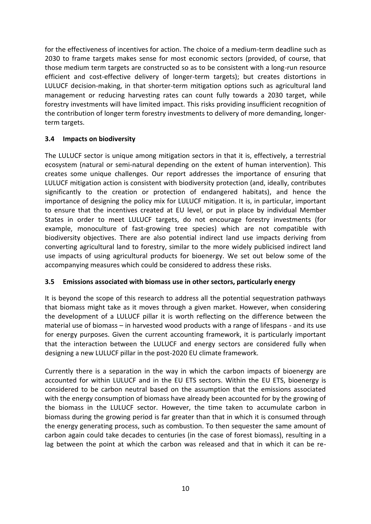for the effectiveness of incentives for action. The choice of a medium-term deadline such as 2030 to frame targets makes sense for most economic sectors (provided, of course, that those medium term targets are constructed so as to be consistent with a long-run resource efficient and cost-effective delivery of longer-term targets); but creates distortions in LULUCF decision-making, in that shorter-term mitigation options such as agricultural land management or reducing harvesting rates can count fully towards a 2030 target, while forestry investments will have limited impact. This risks providing insufficient recognition of the contribution of longer term forestry investments to delivery of more demanding, longerterm targets.

#### <span id="page-11-0"></span>**3.4 Impacts on biodiversity**

The LULUCF sector is unique among mitigation sectors in that it is, effectively, a terrestrial ecosystem (natural or semi-natural depending on the extent of human intervention). This creates some unique challenges. Our report addresses the importance of ensuring that LULUCF mitigation action is consistent with biodiversity protection (and, ideally, contributes significantly to the creation or protection of endangered habitats), and hence the importance of designing the policy mix for LULUCF mitigation. It is, in particular, important to ensure that the incentives created at EU level, or put in place by individual Member States in order to meet LULUCF targets, do not encourage forestry investments (for example, monoculture of fast-growing tree species) which are not compatible with biodiversity objectives. There are also potential indirect land use impacts deriving from converting agricultural land to forestry, similar to the more widely publicised indirect land use impacts of using agricultural products for bioenergy. We set out below some of the accompanying measures which could be considered to address these risks.

#### <span id="page-11-1"></span>**3.5 Emissions associated with biomass use in other sectors, particularly energy**

It is beyond the scope of this research to address all the potential sequestration pathways that biomass might take as it moves through a given market. However, when considering the development of a LULUCF pillar it is worth reflecting on the difference between the material use of biomass – in harvested wood products with a range of lifespans - and its use for energy purposes. Given the current accounting framework, it is particularly important that the interaction between the LULUCF and energy sectors are considered fully when designing a new LULUCF pillar in the post-2020 EU climate framework.

Currently there is a separation in the way in which the carbon impacts of bioenergy are accounted for within LULUCF and in the EU ETS sectors. Within the EU ETS, bioenergy is considered to be carbon neutral based on the assumption that the emissions associated with the energy consumption of biomass have already been accounted for by the growing of the biomass in the LULUCF sector. However, the time taken to accumulate carbon in biomass during the growing period is far greater than that in which it is consumed through the energy generating process, such as combustion. To then sequester the same amount of carbon again could take decades to centuries (in the case of forest biomass), resulting in a lag between the point at which the carbon was released and that in which it can be re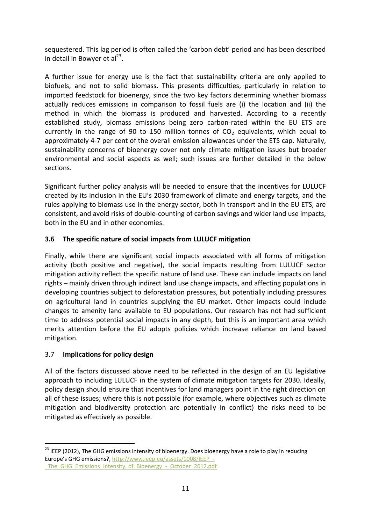sequestered. This lag period is often called the 'carbon debt' period and has been described in detail in Bowyer et al<sup>23</sup>.

A further issue for energy use is the fact that sustainability criteria are only applied to biofuels, and not to solid biomass. This presents difficulties, particularly in relation to imported feedstock for bioenergy, since the two key factors determining whether biomass actually reduces emissions in comparison to fossil fuels are (i) the location and (ii) the method in which the biomass is produced and harvested. According to a recently established study, biomass emissions being zero carbon-rated within the EU ETS are currently in the range of 90 to 150 million tonnes of  $CO<sub>2</sub>$  equivalents, which equal to approximately 4-7 per cent of the overall emission allowances under the ETS cap. Naturally, sustainability concerns of bioenergy cover not only climate mitigation issues but broader environmental and social aspects as well; such issues are further detailed in the below sections.

Significant further policy analysis will be needed to ensure that the incentives for LULUCF created by its inclusion in the EU's 2030 framework of climate and energy targets, and the rules applying to biomass use in the energy sector, both in transport and in the EU ETS, are consistent, and avoid risks of double-counting of carbon savings and wider land use impacts, both in the EU and in other economies.

#### <span id="page-12-0"></span>**3.6 The specific nature of social impacts from LULUCF mitigation**

Finally, while there are significant social impacts associated with all forms of mitigation activity (both positive and negative), the social impacts resulting from LULUCF sector mitigation activity reflect the specific nature of land use. These can include impacts on land rights – mainly driven through indirect land use change impacts, and affecting populations in developing countries subject to deforestation pressures, but potentially including pressures on agricultural land in countries supplying the EU market. Other impacts could include changes to amenity land available to EU populations. Our research has not had sufficient time to address potential social impacts in any depth, but this is an important area which merits attention before the EU adopts policies which increase reliance on land based mitigation.

#### <span id="page-12-1"></span>3.7 **Implications for policy design**

-

All of the factors discussed above need to be reflected in the design of an EU legislative approach to including LULUCF in the system of climate mitigation targets for 2030. Ideally, policy design should ensure that incentives for land managers point in the right direction on all of these issues; where this is not possible (for example, where objectives such as climate mitigation and biodiversity protection are potentially in conflict) the risks need to be mitigated as effectively as possible.

<sup>&</sup>lt;sup>23</sup> IEEP (2012), The GHG emissions intensity of bioenergy. Does bioenergy have a role to play in reducing Europe's GHG emissions?, [http://www.ieep.eu/assets/1008/IEEP\\_-](http://www.ieep.eu/assets/1008/IEEP_-_The_GHG_Emissions_Intensity_of_Bioenergy_-_October_2012.pdf) The GHG Emissions Intensity of Bioenergy - October 2012.pdf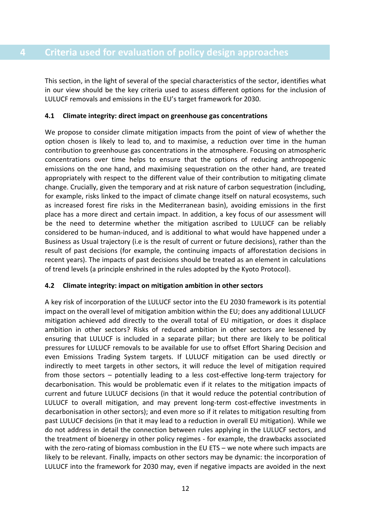<span id="page-13-0"></span>This section, in the light of several of the special characteristics of the sector, identifies what in our view should be the key criteria used to assess different options for the inclusion of LULUCF removals and emissions in the EU's target framework for 2030.

#### <span id="page-13-1"></span>**4.1 Climate integrity: direct impact on greenhouse gas concentrations**

We propose to consider climate mitigation impacts from the point of view of whether the option chosen is likely to lead to, and to maximise, a reduction over time in the human contribution to greenhouse gas concentrations in the atmosphere. Focusing on atmospheric concentrations over time helps to ensure that the options of reducing anthropogenic emissions on the one hand, and maximising sequestration on the other hand, are treated appropriately with respect to the different value of their contribution to mitigating climate change. Crucially, given the temporary and at risk nature of carbon sequestration (including, for example, risks linked to the impact of climate change itself on natural ecosystems, such as increased forest fire risks in the Mediterranean basin), avoiding emissions in the first place has a more direct and certain impact. In addition, a key focus of our assessment will be the need to determine whether the mitigation ascribed to LULUCF can be reliably considered to be human-induced, and is additional to what would have happened under a Business as Usual trajectory (i.e is the result of current or future decisions), rather than the result of past decisions (for example, the continuing impacts of afforestation decisions in recent years). The impacts of past decisions should be treated as an element in calculations of trend levels (a principle enshrined in the rules adopted by the Kyoto Protocol).

#### <span id="page-13-2"></span>**4.2 Climate integrity: impact on mitigation ambition in other sectors**

A key risk of incorporation of the LULUCF sector into the EU 2030 framework is its potential impact on the overall level of mitigation ambition within the EU; does any additional LULUCF mitigation achieved add directly to the overall total of EU mitigation, or does it displace ambition in other sectors? Risks of reduced ambition in other sectors are lessened by ensuring that LULUCF is included in a separate pillar; but there are likely to be political pressures for LULUCF removals to be available for use to offset Effort Sharing Decision and even Emissions Trading System targets. If LULUCF mitigation can be used directly or indirectly to meet targets in other sectors, it will reduce the level of mitigation required from those sectors – potentially leading to a less cost-effective long-term trajectory for decarbonisation. This would be problematic even if it relates to the mitigation impacts of current and future LULUCF decisions (in that it would reduce the potential contribution of LULUCF to overall mitigation, and may prevent long-term cost-effective investments in decarbonisation in other sectors); and even more so if it relates to mitigation resulting from past LULUCF decisions (in that it may lead to a reduction in overall EU mitigation). While we do not address in detail the connection between rules applying in the LULUCF sectors, and the treatment of bioenergy in other policy regimes - for example, the drawbacks associated with the zero-rating of biomass combustion in the EU ETS – we note where such impacts are likely to be relevant. Finally, impacts on other sectors may be dynamic: the incorporation of LULUCF into the framework for 2030 may, even if negative impacts are avoided in the next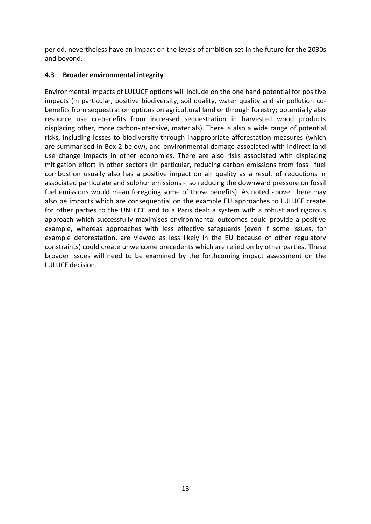period, nevertheless have an impact on the levels of ambition set in the future for the 2030s and beyond.

#### <span id="page-14-0"></span>**4.3 Broader environmental integrity**

Environmental impacts of LULUCF options will include on the one hand potential for positive impacts (in particular, positive biodiversity, soil quality, water quality and air pollution cobenefits from sequestration options on agricultural land or through forestry; potentially also resource use co-benefits from increased sequestration in harvested wood products displacing other, more carbon-intensive, materials). There is also a wide range of potential risks, including losses to biodiversity through inappropriate afforestation measures (which are summarised in Box 2 below), and environmental damage associated with indirect land use change impacts in other economies. There are also risks associated with displacing mitigation effort in other sectors (in particular, reducing carbon emissions from fossil fuel combustion usually also has a positive impact on air quality as a result of reductions in associated particulate and sulphur emissions - so reducing the downward pressure on fossil fuel emissions would mean foregoing some of those benefits). As noted above, there may also be impacts which are consequential on the example EU approaches to LULUCF create for other parties to the UNFCCC and to a Paris deal: a system with a robust and rigorous approach which successfully maximises environmental outcomes could provide a positive example, whereas approaches with less effective safeguards (even if some issues, for example deforestation, are viewed as less likely in the EU because of other regulatory constraints) could create unwelcome precedents which are relied on by other parties. These broader issues will need to be examined by the forthcoming impact assessment on the LULUCF decision.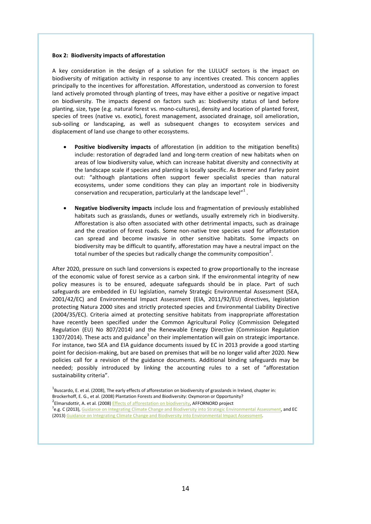#### **Box 2: Biodiversity impacts of afforestation**

A key consideration in the design of a solution for the LULUCF sectors is the impact on biodiversity of mitigation activity in response to any incentives created. This concern applies principally to the incentives for afforestation. Afforestation, understood as conversion to forest land actively promoted through planting of trees, may have either a positive or negative impact on biodiversity. The impacts depend on factors such as: biodiversity status of land before planting, size, type (e.g. natural forest vs. mono-cultures), density and location of planted forest, species of trees (native vs. exotic), forest management, associated drainage, soil amelioration, sub-soiling or landscaping, as well as subsequent changes to ecosystem services and displacement of land use change to other ecosystems.

- **Positive biodiversity impacts** of afforestation (in addition to the mitigation benefits) include: restoration of degraded land and long-term creation of new habitats when on areas of low biodiversity value, which can increase habitat diversity and connectivity at the landscape scale if species and planting is locally specific. As Bremer and Farley point out: "although plantations often support fewer specialist species than natural ecosystems, under some conditions they can play an important role in biodiversity conservation and recuperation, particularly at the landscape level" $^{1}$ .
- **Negative biodiversity impacts** include loss and fragmentation of previously established habitats such as grasslands, dunes or wetlands, usually extremely rich in biodiversity. Afforestation is also often associated with other detrimental impacts, such as drainage and the creation of forest roads. Some non-native tree species used for afforestation can spread and become invasive in other sensitive habitats. Some impacts on biodiversity may be difficult to quantify, afforestation may have a neutral impact on the total number of the species but radically change the community composition<sup>2</sup>.

After 2020, pressure on such land conversions is expected to grow proportionally to the increase of the economic value of forest service as a carbon sink. If the environmental integrity of new policy measures is to be ensured, adequate safeguards should be in place. Part of such safeguards are embedded in EU legislation, namely Strategic Environmental Assessment (SEA, 2001/42/EC) and Environmental Impact Assessment (EIA, 2011/92/EU) directives, legislation protecting Natura 2000 sites and strictly protected species and Environmental Liability Directive (2004/35/EC). Criteria aimed at protecting sensitive habitats from inappropriate afforestation have recently been specified under the Common Agricultural Policy (Commission Delegated Regulation (EU) No 807/2014) and the Renewable Energy Directive (Commission Regulation 1307/2014). These acts and guidance<sup>3</sup> on their implementation will gain on strategic importance. For instance, two SEA and EIA guidance documents issued by EC in 2013 provide a good starting point for decision-making, but are based on premises that will be no longer valid after 2020. New policies call for a revision of the guidance documents. Additional binding safeguards may be needed; possibly introduced by linking the accounting rules to a set of "afforestation sustainability criteria".

 $^{\rm 1}$ Buscardo, E. et al. (2008), The early effects of afforestation on biodiversity of grasslands in Ireland, chapter in: Brockerhoff, E. G., et al. (2008) Plantation Forests and Biodiversity: Oxymoron or Opportunity? <sup>2</sup>Elmarsdottir, A. et al. (2008) **Effects of afforestation on biodiversity**, AFFORNORD project <sup>3</sup>e.g. C (2013)[, Guidance on Integrating Climate Change and Biodiversity into Strategic Environmental Assessment,](http://ec.europa.eu/environment/eia/pdf/SEA%20Guidance.pdf) and EC (2013[\) Guidance on Integrating Climate Change and Biodiversity into Environmental Impact Assessment.](http://ec.europa.eu/environment/eia/pdf/EIA%20Guidance.pdf)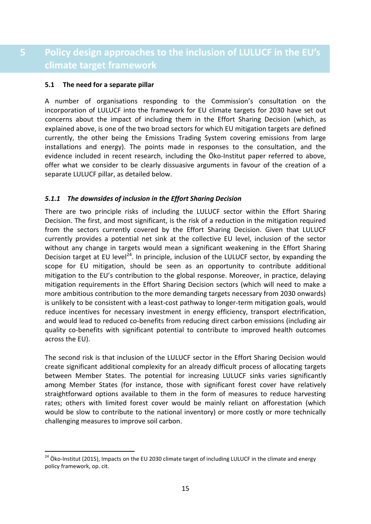### <span id="page-16-0"></span>**5 Policy design approaches to the inclusion of LULUCF in the EU's climate target framework**

#### <span id="page-16-1"></span>**5.1 The need for a separate pillar**

-

A number of organisations responding to the Commission's consultation on the incorporation of LULUCF into the framework for EU climate targets for 2030 have set out concerns about the impact of including them in the Effort Sharing Decision (which, as explained above, is one of the two broad sectors for which EU mitigation targets are defined currently, the other being the Emissions Trading System covering emissions from large installations and energy). The points made in responses to the consultation, and the evidence included in recent research, including the Öko-Institut paper referred to above, offer what we consider to be clearly dissuasive arguments in favour of the creation of a separate LULUCF pillar, as detailed below.

#### *5.1.1 The downsides of inclusion in the Effort Sharing Decision*

There are two principle risks of including the LULUCF sector within the Effort Sharing Decision. The first, and most significant, is the risk of a reduction in the mitigation required from the sectors currently covered by the Effort Sharing Decision. Given that LULUCF currently provides a potential net sink at the collective EU level, inclusion of the sector without any change in targets would mean a significant weakening in the Effort Sharing Decision target at EU level<sup>24</sup>. In principle, inclusion of the LULUCF sector, by expanding the scope for EU mitigation, should be seen as an opportunity to contribute additional mitigation to the EU's contribution to the global response. Moreover, in practice, delaying mitigation requirements in the Effort Sharing Decision sectors (which will need to make a more ambitious contribution to the more demanding targets necessary from 2030 onwards) is unlikely to be consistent with a least-cost pathway to longer-term mitigation goals, would reduce incentives for necessary investment in energy efficiency, transport electrification, and would lead to reduced co-benefits from reducing direct carbon emissions (including air quality co-benefits with significant potential to contribute to improved health outcomes across the EU).

The second risk is that inclusion of the LULUCF sector in the Effort Sharing Decision would create significant additional complexity for an already difficult process of allocating targets between Member States. The potential for increasing LULUCF sinks varies significantly among Member States (for instance, those with significant forest cover have relatively straightforward options available to them in the form of measures to reduce harvesting rates; others with limited forest cover would be mainly reliant on afforestation (which would be slow to contribute to the national inventory) or more costly or more technically challenging measures to improve soil carbon.

<sup>&</sup>lt;sup>24</sup> Öko-Institut (2015), Impacts on the EU 2030 climate target of including LULUCF in the climate and energy policy framework, op. cit.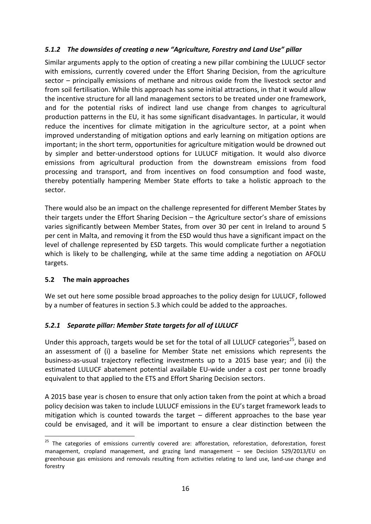#### *5.1.2 The downsides of creating a new "Agriculture, Forestry and Land Use" pillar*

Similar arguments apply to the option of creating a new pillar combining the LULUCF sector with emissions, currently covered under the Effort Sharing Decision, from the agriculture sector – principally emissions of methane and nitrous oxide from the livestock sector and from soil fertilisation. While this approach has some initial attractions, in that it would allow the incentive structure for all land management sectors to be treated under one framework, and for the potential risks of indirect land use change from changes to agricultural production patterns in the EU, it has some significant disadvantages. In particular, it would reduce the incentives for climate mitigation in the agriculture sector, at a point when improved understanding of mitigation options and early learning on mitigation options are important; in the short term, opportunities for agriculture mitigation would be drowned out by simpler and better-understood options for LULUCF mitigation. It would also divorce emissions from agricultural production from the downstream emissions from food processing and transport, and from incentives on food consumption and food waste, thereby potentially hampering Member State efforts to take a holistic approach to the sector.

There would also be an impact on the challenge represented for different Member States by their targets under the Effort Sharing Decision – the Agriculture sector's share of emissions varies significantly between Member States, from over 30 per cent in Ireland to around 5 per cent in Malta, and removing it from the ESD would thus have a significant impact on the level of challenge represented by ESD targets. This would complicate further a negotiation which is likely to be challenging, while at the same time adding a negotiation on AFOLU targets.

#### <span id="page-17-0"></span>**5.2 The main approaches**

We set out here some possible broad approaches to the policy design for LULUCF, followed by a number of features in section 5.3 which could be added to the approaches.

#### *5.2.1 Separate pillar: Member State targets for all of LULUCF*

Under this approach, targets would be set for the total of all LULUCF categories<sup>25</sup>, based on an assessment of (i) a baseline for Member State net emissions which represents the business-as-usual trajectory reflecting investments up to a 2015 base year; and (ii) the estimated LULUCF abatement potential available EU-wide under a cost per tonne broadly equivalent to that applied to the ETS and Effort Sharing Decision sectors.

A 2015 base year is chosen to ensure that only action taken from the point at which a broad policy decision was taken to include LULUCF emissions in the EU's target framework leads to mitigation which is counted towards the target – different approaches to the base year could be envisaged, and it will be important to ensure a clear distinction between the

<sup>-</sup><sup>25</sup> The categories of emissions currently covered are: afforestation, reforestation, deforestation, forest management, cropland management, and grazing land management – see Decision 529/2013/EU on greenhouse gas emissions and removals resulting from activities relating to land use, land-use change and forestry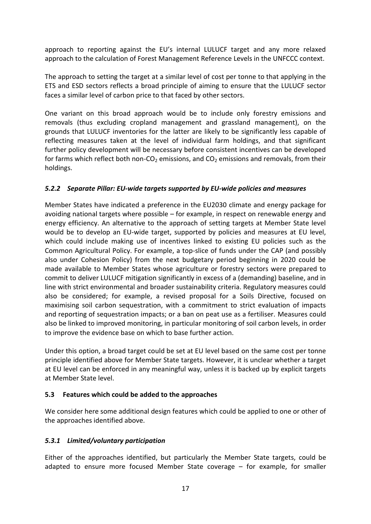approach to reporting against the EU's internal LULUCF target and any more relaxed approach to the calculation of Forest Management Reference Levels in the UNFCCC context.

The approach to setting the target at a similar level of cost per tonne to that applying in the ETS and ESD sectors reflects a broad principle of aiming to ensure that the LULUCF sector faces a similar level of carbon price to that faced by other sectors.

One variant on this broad approach would be to include only forestry emissions and removals (thus excluding cropland management and grassland management), on the grounds that LULUCF inventories for the latter are likely to be significantly less capable of reflecting measures taken at the level of individual farm holdings, and that significant further policy development will be necessary before consistent incentives can be developed for farms which reflect both non- $CO<sub>2</sub>$  emissions, and  $CO<sub>2</sub>$  emissions and removals, from their holdings.

#### *5.2.2 Separate Pillar: EU-wide targets supported by EU-wide policies and measures*

Member States have indicated a preference in the EU2030 climate and energy package for avoiding national targets where possible – for example, in respect on renewable energy and energy efficiency. An alternative to the approach of setting targets at Member State level would be to develop an EU-wide target, supported by policies and measures at EU level, which could include making use of incentives linked to existing EU policies such as the Common Agricultural Policy. For example, a top-slice of funds under the CAP (and possibly also under Cohesion Policy) from the next budgetary period beginning in 2020 could be made available to Member States whose agriculture or forestry sectors were prepared to commit to deliver LULUCF mitigation significantly in excess of a (demanding) baseline, and in line with strict environmental and broader sustainability criteria. Regulatory measures could also be considered; for example, a revised proposal for a Soils Directive, focused on maximising soil carbon sequestration, with a commitment to strict evaluation of impacts and reporting of sequestration impacts; or a ban on peat use as a fertiliser. Measures could also be linked to improved monitoring, in particular monitoring of soil carbon levels, in order to improve the evidence base on which to base further action.

Under this option, a broad target could be set at EU level based on the same cost per tonne principle identified above for Member State targets. However, it is unclear whether a target at EU level can be enforced in any meaningful way, unless it is backed up by explicit targets at Member State level.

#### <span id="page-18-0"></span>**5.3 Features which could be added to the approaches**

We consider here some additional design features which could be applied to one or other of the approaches identified above.

#### <span id="page-18-1"></span>*5.3.1 Limited/voluntary participation*

Either of the approaches identified, but particularly the Member State targets, could be adapted to ensure more focused Member State coverage – for example, for smaller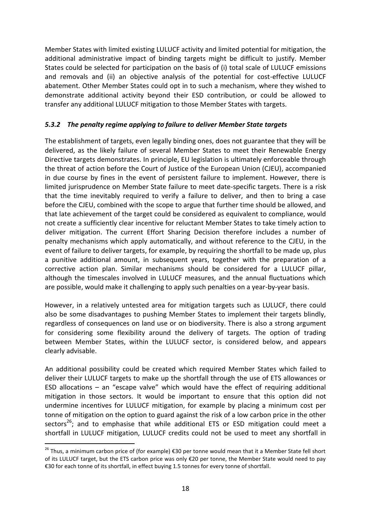Member States with limited existing LULUCF activity and limited potential for mitigation, the additional administrative impact of binding targets might be difficult to justify. Member States could be selected for participation on the basis of (i) total scale of LULUCF emissions and removals and (ii) an objective analysis of the potential for cost-effective LULUCF abatement. Other Member States could opt in to such a mechanism, where they wished to demonstrate additional activity beyond their ESD contribution, or could be allowed to transfer any additional LULUCF mitigation to those Member States with targets.

#### *5.3.2 The penalty regime applying to failure to deliver Member State targets*

The establishment of targets, even legally binding ones, does not guarantee that they will be delivered, as the likely failure of several Member States to meet their Renewable Energy Directive targets demonstrates. In principle, EU legislation is ultimately enforceable through the threat of action before the Court of Justice of the European Union (CJEU), accompanied in due course by fines in the event of persistent failure to implement. However, there is limited jurisprudence on Member State failure to meet date-specific targets. There is a risk that the time inevitably required to verify a failure to deliver, and then to bring a case before the CJEU, combined with the scope to argue that further time should be allowed, and that late achievement of the target could be considered as equivalent to compliance, would not create a sufficiently clear incentive for reluctant Member States to take timely action to deliver mitigation. The current Effort Sharing Decision therefore includes a number of penalty mechanisms which apply automatically, and without reference to the CJEU, in the event of failure to deliver targets, for example, by requiring the shortfall to be made up, plus a punitive additional amount, in subsequent years, together with the preparation of a corrective action plan. Similar mechanisms should be considered for a LULUCF pillar, although the timescales involved in LULUCF measures, and the annual fluctuations which are possible, would make it challenging to apply such penalties on a year-by-year basis.

However, in a relatively untested area for mitigation targets such as LULUCF, there could also be some disadvantages to pushing Member States to implement their targets blindly, regardless of consequences on land use or on biodiversity. There is also a strong argument for considering some flexibility around the delivery of targets. The option of trading between Member States, within the LULUCF sector, is considered below, and appears clearly advisable.

An additional possibility could be created which required Member States which failed to deliver their LULUCF targets to make up the shortfall through the use of ETS allowances or ESD allocations – an "escape valve" which would have the effect of requiring additional mitigation in those sectors. It would be important to ensure that this option did not undermine incentives for LULUCF mitigation, for example by placing a minimum cost per tonne of mitigation on the option to guard against the risk of a low carbon price in the other sectors<sup>26</sup>; and to emphasise that while additional ETS or ESD mitigation could meet a shortfall in LULUCF mitigation, LULUCF credits could not be used to meet any shortfall in

-

<sup>&</sup>lt;sup>26</sup> Thus, a minimum carbon price of (for example) €30 per tonne would mean that it a Member State fell short of its LULUCF target, but the ETS carbon price was only €20 per tonne, the Member State would need to pay €30 for each tonne of its shortfall, in effect buying 1.5 tonnes for every tonne of shortfall.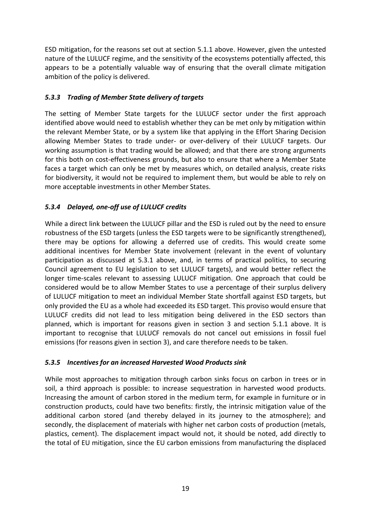ESD mitigation, for the reasons set out at section 5.1.1 above. However, given the untested nature of the LULUCF regime, and the sensitivity of the ecosystems potentially affected, this appears to be a potentially valuable way of ensuring that the overall climate mitigation ambition of the policy is delivered.

#### *5.3.3 Trading of Member State delivery of targets*

The setting of Member State targets for the LULUCF sector under the first approach identified above would need to establish whether they can be met only by mitigation within the relevant Member State, or by a system like that applying in the Effort Sharing Decision allowing Member States to trade under- or over-delivery of their LULUCF targets. Our working assumption is that trading would be allowed; and that there are strong arguments for this both on cost-effectiveness grounds, but also to ensure that where a Member State faces a target which can only be met by measures which, on detailed analysis, create risks for biodiversity, it would not be required to implement them, but would be able to rely on more acceptable investments in other Member States.

#### *5.3.4 Delayed, one-off use of LULUCF credits*

While a direct link between the LULUCF pillar and the ESD is ruled out by the need to ensure robustness of the ESD targets (unless the ESD targets were to be significantly strengthened), there may be options for allowing a deferred use of credits. This would create some additional incentives for Member State involvement (relevant in the event of voluntary participation as discussed at [5.3.1](#page-18-1) above, and, in terms of practical politics, to securing Council agreement to EU legislation to set LULUCF targets), and would better reflect the longer time-scales relevant to assessing LULUCF mitigation. One approach that could be considered would be to allow Member States to use a percentage of their surplus delivery of LULUCF mitigation to meet an individual Member State shortfall against ESD targets, but only provided the EU as a whole had exceeded its ESD target. This proviso would ensure that LULUCF credits did not lead to less mitigation being delivered in the ESD sectors than planned, which is important for reasons given in section 3 and section 5.1.1 above. It is important to recognise that LULUCF removals do not cancel out emissions in fossil fuel emissions (for reasons given in section 3), and care therefore needs to be taken.

#### *5.3.5 Incentives for an increased Harvested Wood Products sink*

While most approaches to mitigation through carbon sinks focus on carbon in trees or in soil, a third approach is possible: to increase sequestration in harvested wood products. Increasing the amount of carbon stored in the medium term, for example in furniture or in construction products, could have two benefits: firstly, the intrinsic mitigation value of the additional carbon stored (and thereby delayed in its journey to the atmosphere); and secondly, the displacement of materials with higher net carbon costs of production (metals, plastics, cement). The displacement impact would not, it should be noted, add directly to the total of EU mitigation, since the EU carbon emissions from manufacturing the displaced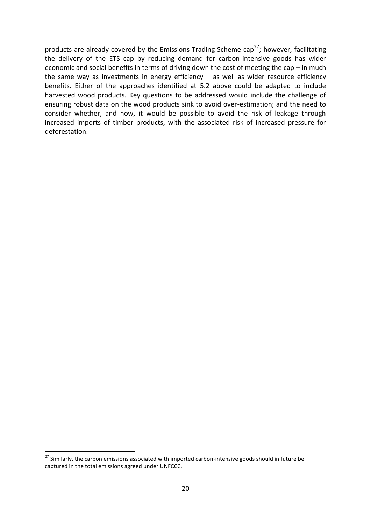products are already covered by the Emissions Trading Scheme cap<sup>27</sup>; however, facilitating the delivery of the ETS cap by reducing demand for carbon-intensive goods has wider economic and social benefits in terms of driving down the cost of meeting the cap – in much the same way as investments in energy efficiency  $-$  as well as wider resource efficiency benefits. Either of the approaches identified at [5.2](#page-17-0) above could be adapted to include harvested wood products. Key questions to be addressed would include the challenge of ensuring robust data on the wood products sink to avoid over-estimation; and the need to consider whether, and how, it would be possible to avoid the risk of leakage through increased imports of timber products, with the associated risk of increased pressure for deforestation.

-

<sup>&</sup>lt;sup>27</sup> Similarly, the carbon emissions associated with imported carbon-intensive goods should in future be captured in the total emissions agreed under UNFCCC.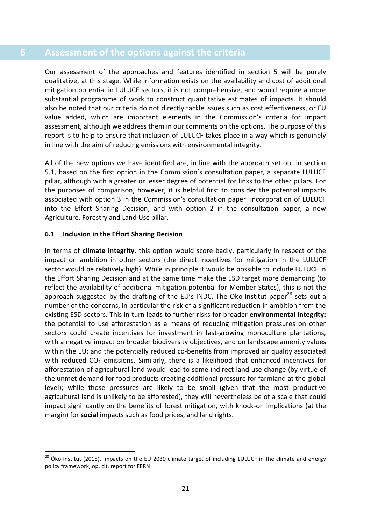#### <span id="page-22-0"></span>**6 Assessment of the options against the criteria**

Our assessment of the approaches and features identified in section 5 will be purely qualitative, at this stage. While information exists on the availability and cost of additional mitigation potential in LULUCF sectors, it is not comprehensive, and would require a more substantial programme of work to construct quantitative estimates of impacts. It should also be noted that our criteria do not directly tackle issues such as cost effectiveness, or EU value added, which are important elements in the Commission's criteria for impact assessment, although we address them in our comments on the options. The purpose of this report is to help to ensure that inclusion of LULUCF takes place in a way which is genuinely in line with the aim of reducing emissions with environmental integrity.

All of the new options we have identified are, in line with the approach set out in section [5.1](#page-16-1), based on the first option in the Commission's consultation paper, a separate LULUCF pillar, although with a greater or lesser degree of potential for links to the other pillars. For the purposes of comparison, however, it is helpful first to consider the potential impacts associated with option 3 in the Commission's consultation paper: incorporation of LULUCF into the Effort Sharing Decision, and with option 2 in the consultation paper, a new Agriculture, Forestry and Land Use pillar.

#### <span id="page-22-1"></span>**6.1 Inclusion in the Effort Sharing Decision**

-

In terms of **climate integrity**, this option would score badly, particularly in respect of the impact on ambition in other sectors (the direct incentives for mitigation in the LULUCF sector would be relatively high). While in principle it would be possible to include LULUCF in the Effort Sharing Decision and at the same time make the ESD target more demanding (to reflect the availability of additional mitigation potential for Member States), this is not the approach suggested by the drafting of the EU's INDC. The Öko-Institut paper $^{28}$  sets out a number of the concerns, in particular the risk of a significant reduction in ambition from the existing ESD sectors. This in turn leads to further risks for broader **environmental integrity:** the potential to use afforestation as a means of reducing mitigation pressures on other sectors could create incentives for investment in fast-growing monoculture plantations, with a negative impact on broader biodiversity objectives, and on landscape amenity values within the EU; and the potentially reduced co-benefits from improved air quality associated with reduced  $CO<sub>2</sub>$  emissions. Similarly, there is a likelihood that enhanced incentives for afforestation of agricultural land would lead to some indirect land use change (by virtue of the unmet demand for food products creating additional pressure for farmland at the global level); while those pressures are likely to be small (given that the most productive agricultural land is unlikely to be afforested), they will nevertheless be of a scale that could impact significantly on the benefits of forest mitigation, with knock-on implications (at the margin) for **social** impacts such as food prices, and land rights.

<sup>&</sup>lt;sup>28</sup> Öko-Institut (2015), Impacts on the EU 2030 climate target of including LULUCF in the climate and energy policy framework, op. cit. report for FERN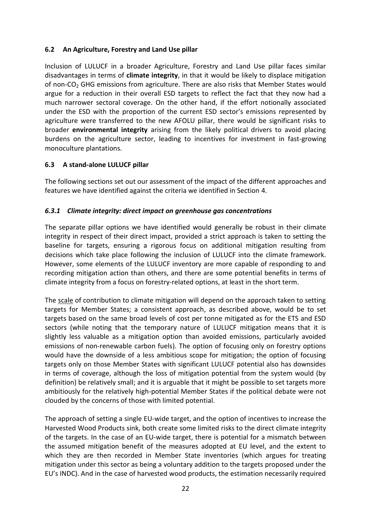#### <span id="page-23-0"></span>**6.2 An Agriculture, Forestry and Land Use pillar**

Inclusion of LULUCF in a broader Agriculture, Forestry and Land Use pillar faces similar disadvantages in terms of **climate integrity**, in that it would be likely to displace mitigation of non-CO<sub>2</sub> GHG emissions from agriculture. There are also risks that Member States would argue for a reduction in their overall ESD targets to reflect the fact that they now had a much narrower sectoral coverage. On the other hand, if the effort notionally associated under the ESD with the proportion of the current ESD sector's emissions represented by agriculture were transferred to the new AFOLU pillar, there would be significant risks to broader **environmental integrity** arising from the likely political drivers to avoid placing burdens on the agriculture sector, leading to incentives for investment in fast-growing monoculture plantations.

#### <span id="page-23-1"></span>**6.3 A stand-alone LULUCF pillar**

The following sections set out our assessment of the impact of the different approaches and features we have identified against the criteria we identified in Section [4.](#page-13-0)

#### *6.3.1 Climate integrity: direct impact on greenhouse gas concentrations*

The separate pillar options we have identified would generally be robust in their climate integrity in respect of their direct impact, provided a strict approach is taken to setting the baseline for targets, ensuring a rigorous focus on additional mitigation resulting from decisions which take place following the inclusion of LULUCF into the climate framework. However, some elements of the LULUCF inventory are more capable of responding to and recording mitigation action than others, and there are some potential benefits in terms of climate integrity from a focus on forestry-related options, at least in the short term.

The scale of contribution to climate mitigation will depend on the approach taken to setting targets for Member States; a consistent approach, as described above, would be to set targets based on the same broad levels of cost per tonne mitigated as for the ETS and ESD sectors (while noting that the temporary nature of LULUCF mitigation means that it is slightly less valuable as a mitigation option than avoided emissions, particularly avoided emissions of non-renewable carbon fuels). The option of focusing only on forestry options would have the downside of a less ambitious scope for mitigation; the option of focusing targets only on those Member States with significant LULUCF potential also has downsides in terms of coverage, although the loss of mitigation potential from the system would (by definition) be relatively small; and it is arguable that it might be possible to set targets more ambitiously for the relatively high-potential Member States if the political debate were not clouded by the concerns of those with limited potential.

The approach of setting a single EU-wide target, and the option of incentives to increase the Harvested Wood Products sink, both create some limited risks to the direct climate integrity of the targets. In the case of an EU-wide target, there is potential for a mismatch between the assumed mitigation benefit of the measures adopted at EU level, and the extent to which they are then recorded in Member State inventories (which argues for treating mitigation under this sector as being a voluntary addition to the targets proposed under the EU's INDC). And in the case of harvested wood products, the estimation necessarily required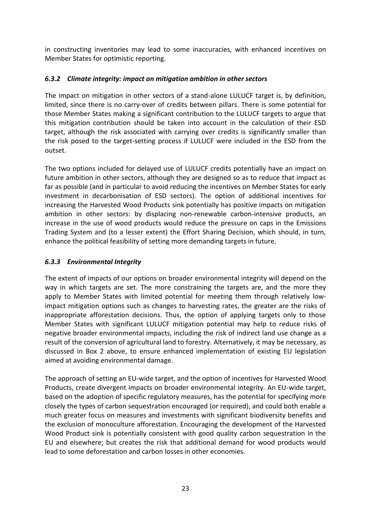in constructing inventories may lead to some inaccuracies, with enhanced incentives on Member States for optimistic reporting.

#### *6.3.2 Climate integrity: impact on mitigation ambition in other sectors*

The impact on mitigation in other sectors of a stand-alone LULUCF target is, by definition, limited, since there is no carry-over of credits between pillars. There is some potential for those Member States making a significant contribution to the LULUCF targets to argue that this mitigation contribution should be taken into account in the calculation of their ESD target, although the risk associated with carrying over credits is significantly smaller than the risk posed to the target-setting process if LULUCF were included in the ESD from the outset.

The two options included for delayed use of LULUCF credits potentially have an impact on future ambition in other sectors, although they are designed so as to reduce that impact as far as possible (and in particular to avoid reducing the incentives on Member States for early investment in decarbonisation of ESD sectors). The option of additional incentives for increasing the Harvested Wood Products sink potentially has positive impacts on mitigation ambition in other sectors: by displacing non-renewable carbon-intensive products, an increase in the use of wood products would reduce the pressure on caps in the Emissions Trading System and (to a lesser extent) the Effort Sharing Decision, which should, in turn, enhance the political feasibility of setting more demanding targets in future.

#### *6.3.3 Environmental Integrity*

The extent of impacts of our options on broader environmental integrity will depend on the way in which targets are set. The more constraining the targets are, and the more they apply to Member States with limited potential for meeting them through relatively lowimpact mitigation options such as changes to harvesting rates, the greater are the risks of inappropriate afforestation decisions. Thus, the option of applying targets only to those Member States with significant LULUCF mitigation potential may help to reduce risks of negative broader environmental impacts, including the risk of indirect land use change as a result of the conversion of agricultural land to forestry. Alternatively, it may be necessary, as discussed in Box 2 above, to ensure enhanced implementation of existing EU legislation aimed at avoiding environmental damage.

The approach of setting an EU-wide target, and the option of incentives for Harvested Wood Products, create divergent impacts on broader environmental integrity. An EU-wide target, based on the adoption of specific regulatory measures, has the potential for specifying more closely the types of carbon sequestration encouraged (or required), and could both enable a much greater focus on measures and investments with significant biodiversity benefits and the exclusion of monoculture afforestation. Encouraging the development of the Harvested Wood Product sink is potentially consistent with good quality carbon sequestration in the EU and elsewhere; but creates the risk that additional demand for wood products would lead to some deforestation and carbon losses in other economies.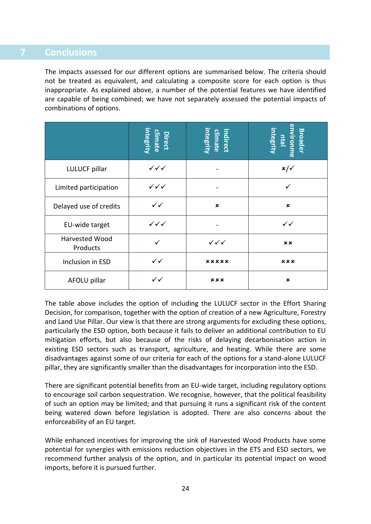#### <span id="page-25-0"></span>**7 Conclusions**

The impacts assessed for our different options are summarised below. The criteria should not be treated as equivalent, and calculating a composite score for each option is thus inappropriate. As explained above, a number of the potential features we have identified are capable of being combined; we have not separately assessed the potential impacts of combinations of options.

|                            | Direct<br>climate<br>integrity | climate<br>integrity<br>Indirect | <u>environme</u><br>ntal<br>integrity<br><b>Broader</b> |
|----------------------------|--------------------------------|----------------------------------|---------------------------------------------------------|
| LULUCF pillar              | $\checkmark\checkmark$         |                                  | $x/\sqrt$                                               |
| Limited participation      | $\checkmark\checkmark$         |                                  | $\checkmark$                                            |
| Delayed use of credits     | $\checkmark$                   | $\mathbf x$                      | $\pmb{\times}$                                          |
| EU-wide target             | $\checkmark\checkmark$         | $\overline{\phantom{0}}$         | $\checkmark$                                            |
| Harvested Wood<br>Products | ✓                              | $\checkmark\checkmark$           | <b>xx</b>                                               |
| Inclusion in ESD           | $\checkmark$                   | xxxxx                            | xxx                                                     |
| AFOLU pillar               | $\checkmark$                   | xxx                              | $\pmb{\times}$                                          |

The table above includes the option of including the LULUCF sector in the Effort Sharing Decision, for comparison, together with the option of creation of a new Agriculture, Forestry and Land Use Pillar. Our view is that there are strong arguments for excluding these options, particularly the ESD option, both because it fails to deliver an additional contribution to EU mitigation efforts, but also because of the risks of delaying decarbonisation action in existing ESD sectors such as transport, agriculture, and heating. While there are some disadvantages against some of our criteria for each of the options for a stand-alone LULUCF pillar, they are significantly smaller than the disadvantages for incorporation into the ESD.

There are significant potential benefits from an EU-wide target, including regulatory options to encourage soil carbon sequestration. We recognise, however, that the political feasibility of such an option may be limited; and that pursuing it runs a significant risk of the content being watered down before legislation is adopted. There are also concerns about the enforceability of an EU target.

While enhanced incentives for improving the sink of Harvested Wood Products have some potential for synergies with emissions reduction objectives in the ETS and ESD sectors, we recommend further analysis of the option, and in particular its potential impact on wood imports, before it is pursued further.